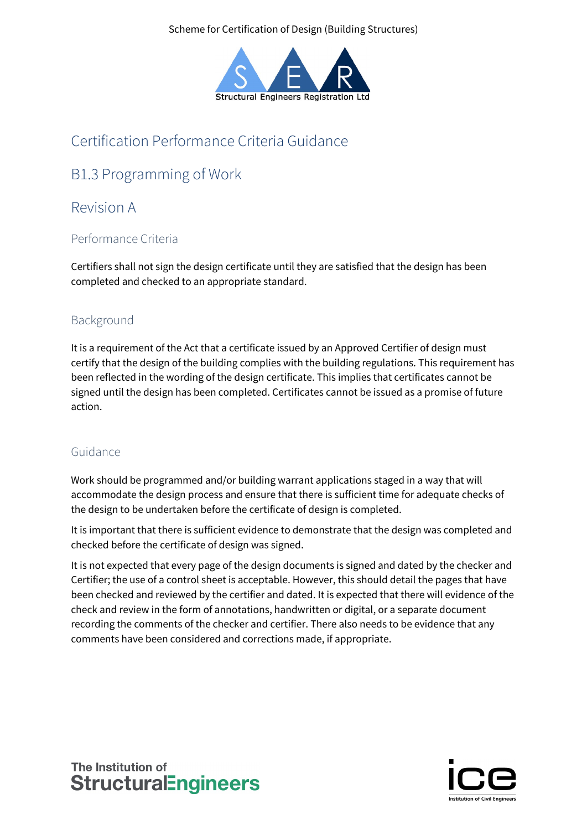Scheme for Certification of Design (Building Structures)



## Certification Performance Criteria Guidance

# B1.3 Programming of Work

## Revision A

### Performance Criteria

Certifiers shall not sign the design certificate until they are satisfied that the design has been completed and checked to an appropriate standard.

### Background

It is a requirement of the Act that a certificate issued by an Approved Certifier of design must certify that the design of the building complies with the building regulations. This requirement has been reflected in the wording of the design certificate. This implies that certificates cannot be signed until the design has been completed. Certificates cannot be issued as a promise of future action.

### Guidance

Work should be programmed and/or building warrant applications staged in a way that will accommodate the design process and ensure that there is sufficient time for adequate checks of the design to be undertaken before the certificate of design is completed.

It is important that there is sufficient evidence to demonstrate that the design was completed and checked before the certificate of design was signed.

It is not expected that every page of the design documents is signed and dated by the checker and Certifier; the use of a control sheet is acceptable. However, this should detail the pages that have been checked and reviewed by the certifier and dated. It is expected that there will evidence of the check and review in the form of annotations, handwritten or digital, or a separate document recording the comments of the checker and certifier. There also needs to be evidence that any comments have been considered and corrections made, if appropriate.